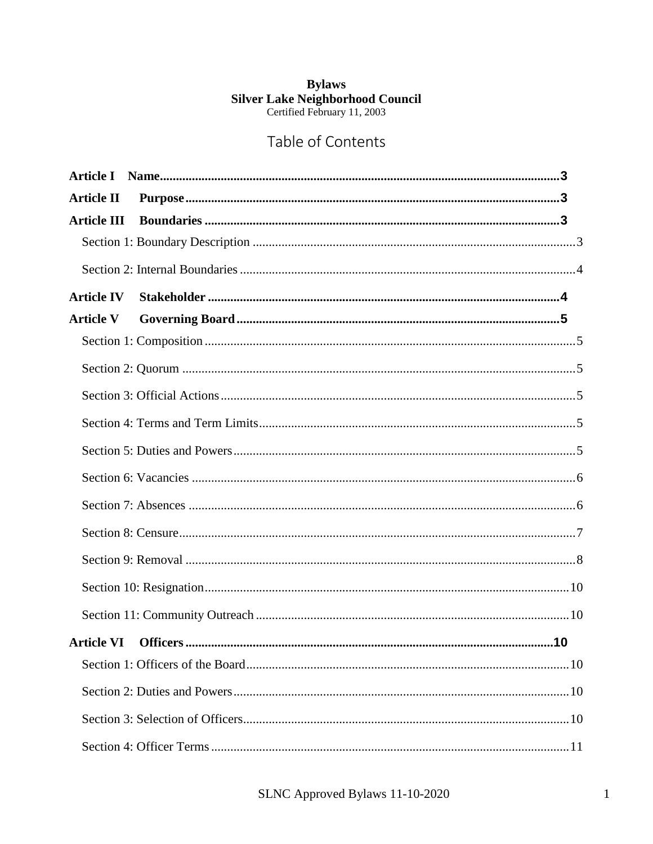# **Bylaws Silver Lake Neighborhood Council**<br>Certified February 11, 2003

# Table of Contents

| <b>Article II</b>  |  |
|--------------------|--|
| <b>Article III</b> |  |
|                    |  |
|                    |  |
| <b>Article IV</b>  |  |
| <b>Article V</b>   |  |
|                    |  |
|                    |  |
|                    |  |
|                    |  |
|                    |  |
|                    |  |
|                    |  |
|                    |  |
|                    |  |
|                    |  |
|                    |  |
| <b>Article VI</b>  |  |
|                    |  |
|                    |  |
|                    |  |
|                    |  |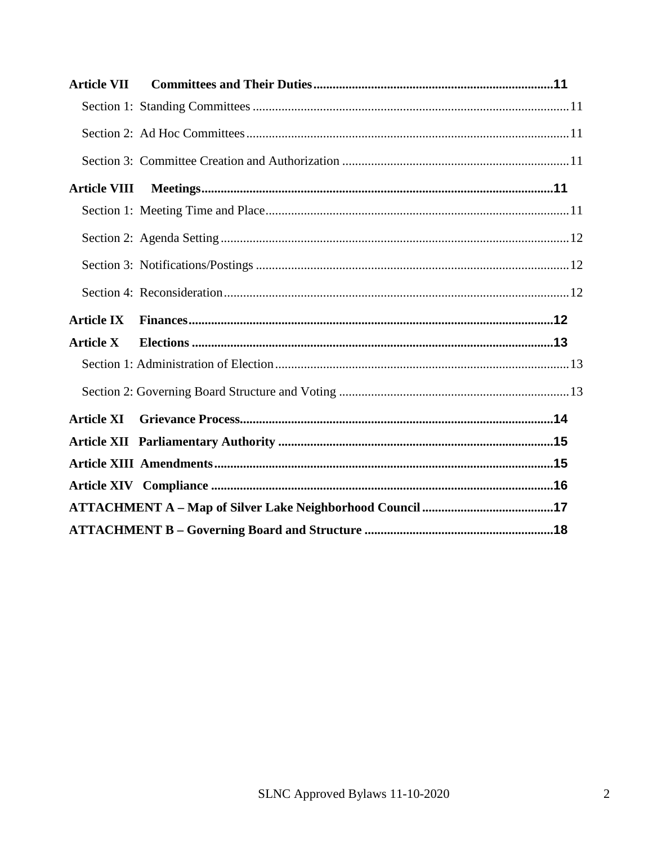| <b>Article VII</b>  |  |
|---------------------|--|
|                     |  |
|                     |  |
|                     |  |
| <b>Article VIII</b> |  |
|                     |  |
|                     |  |
|                     |  |
|                     |  |
|                     |  |
| <b>Article IX</b>   |  |
| <b>Article X</b>    |  |
|                     |  |
|                     |  |
| <b>Article XI</b>   |  |
|                     |  |
|                     |  |
|                     |  |
|                     |  |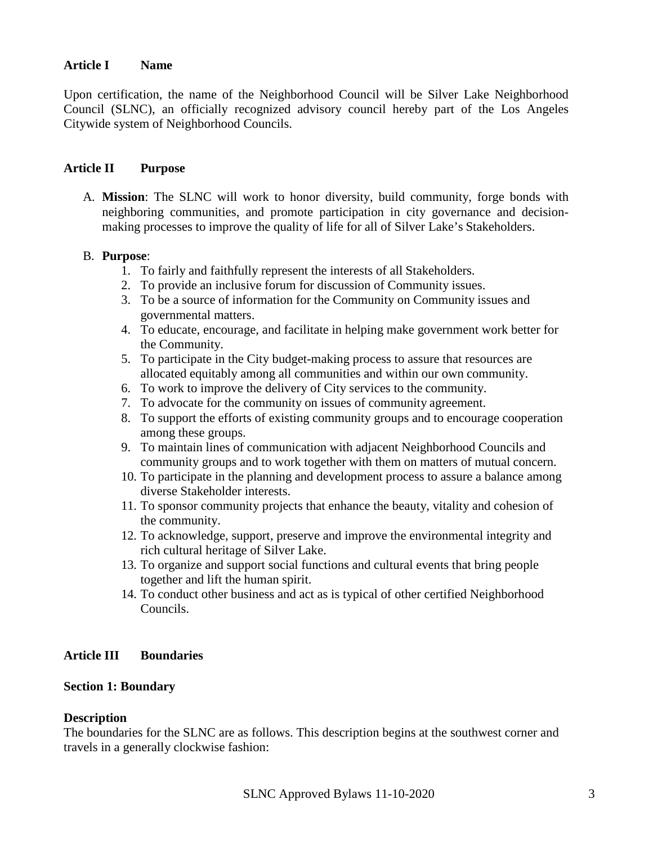#### <span id="page-2-0"></span>**Article I Name**

Upon certification, the name of the Neighborhood Council will be Silver Lake Neighborhood Council (SLNC), an officially recognized advisory council hereby part of the Los Angeles Citywide system of Neighborhood Councils.

#### <span id="page-2-1"></span>**Article II Purpose**

A. **Mission**: The SLNC will work to honor diversity, build community, forge bonds with neighboring communities, and promote participation in city governance and decisionmaking processes to improve the quality of life for all of Silver Lake's Stakeholders.

#### B. **Purpose**:

- 1. To fairly and faithfully represent the interests of all Stakeholders.
- 2. To provide an inclusive forum for discussion of Community issues.
- 3. To be a source of information for the Community on Community issues and governmental matters.
- 4. To educate, encourage, and facilitate in helping make government work better for the Community.
- 5. To participate in the City budget-making process to assure that resources are allocated equitably among all communities and within our own community.
- 6. To work to improve the delivery of City services to the community.
- 7. To advocate for the community on issues of community agreement.
- 8. To support the efforts of existing community groups and to encourage cooperation among these groups.
- 9. To maintain lines of communication with adjacent Neighborhood Councils and community groups and to work together with them on matters of mutual concern.
- 10. To participate in the planning and development process to assure a balance among diverse Stakeholder interests.
- 11. To sponsor community projects that enhance the beauty, vitality and cohesion of the community.
- 12. To acknowledge, support, preserve and improve the environmental integrity and rich cultural heritage of Silver Lake.
- 13. To organize and support social functions and cultural events that bring people together and lift the human spirit.
- <span id="page-2-3"></span>14. To conduct other business and act as is typical of other certified Neighborhood Councils.

#### <span id="page-2-2"></span>**Article III Boundaries**

#### **Section 1: Boundary**

#### **Description**

The boundaries for the SLNC are as follows. This description begins at the southwest corner and travels in a generally clockwise fashion: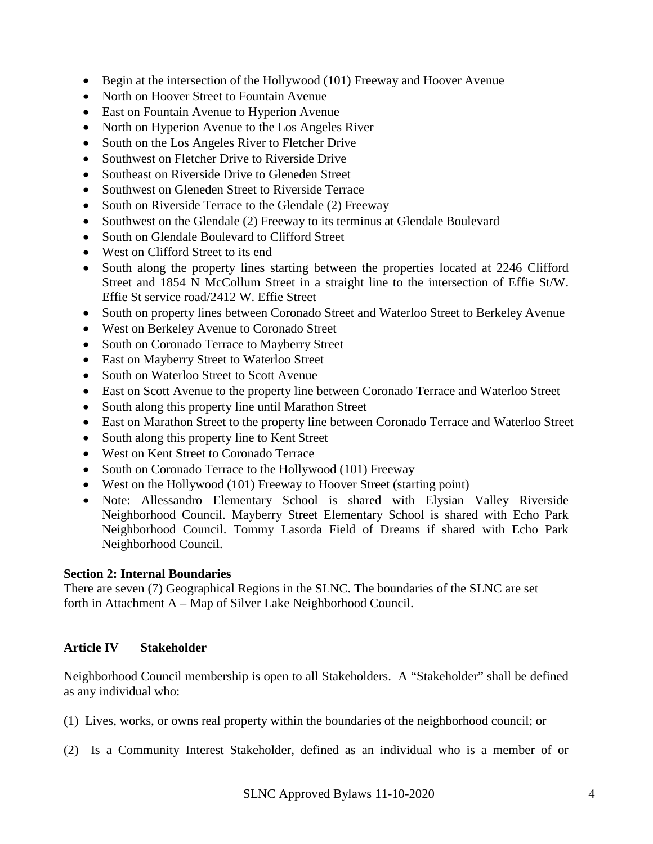- Begin at the intersection of the Hollywood (101) Freeway and Hoover Avenue
- North on Hoover Street to Fountain Avenue
- East on Fountain Avenue to Hyperion Avenue
- North on Hyperion Avenue to the Los Angeles River
- South on the Los Angeles River to Fletcher Drive
- Southwest on Fletcher Drive to Riverside Drive
- Southeast on Riverside Drive to Gleneden Street
- Southwest on Gleneden Street to Riverside Terrace
- South on Riverside Terrace to the Glendale (2) Freeway
- Southwest on the Glendale (2) Freeway to its terminus at Glendale Boulevard
- South on Glendale Boulevard to Clifford Street
- West on Clifford Street to its end
- South along the property lines starting between the properties located at 2246 Clifford Street and 1854 N McCollum Street in a straight line to the intersection of Effie St/W. Effie St service road/2412 W. Effie Street
- South on property lines between Coronado Street and Waterloo Street to Berkeley Avenue
- West on Berkeley Avenue to Coronado Street
- South on Coronado Terrace to Mayberry Street
- East on Mayberry Street to Waterloo Street
- South on Waterloo Street to Scott Avenue
- East on Scott Avenue to the property line between Coronado Terrace and Waterloo Street
- South along this property line until Marathon Street
- East on Marathon Street to the property line between Coronado Terrace and Waterloo Street
- South along this property line to Kent Street
- West on Kent Street to Coronado Terrace
- South on Coronado Terrace to the Hollywood (101) Freeway
- West on the Hollywood (101) Freeway to Hoover Street (starting point)
- <span id="page-3-1"></span>• Note: Allessandro Elementary School is shared with Elysian Valley Riverside Neighborhood Council. Mayberry Street Elementary School is shared with Echo Park Neighborhood Council. Tommy Lasorda Field of Dreams if shared with Echo Park Neighborhood Council.

#### <span id="page-3-0"></span>**Section 2: Internal Boundaries**

There are seven (7) Geographical Regions in the SLNC. The boundaries of the SLNC are set forth in Attachment A – Map of Silver Lake Neighborhood Council.

#### **Article IV Stakeholder**

Neighborhood Council membership is open to all Stakeholders. A "Stakeholder" shall be defined as any individual who:

- (1) Lives, works, or owns real property within the boundaries of the neighborhood council; or
- (2) Is a Community Interest Stakeholder, defined as an individual who is a member of or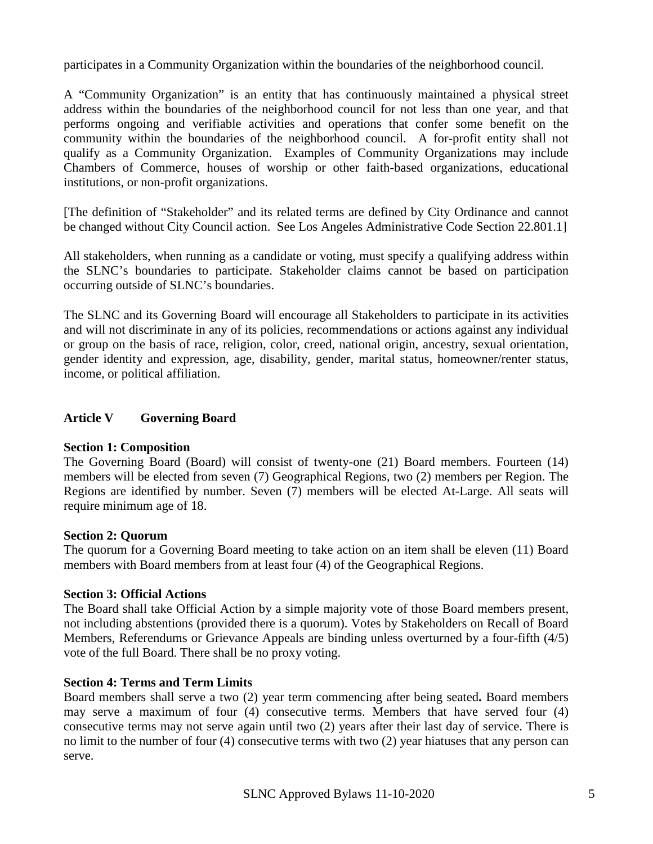participates in a Community Organization within the boundaries of the neighborhood council.

A "Community Organization" is an entity that has continuously maintained a physical street address within the boundaries of the neighborhood council for not less than one year, and that performs ongoing and verifiable activities and operations that confer some benefit on the community within the boundaries of the neighborhood council. A for-profit entity shall not qualify as a Community Organization. Examples of Community Organizations may include Chambers of Commerce, houses of worship or other faith-based organizations, educational institutions, or non-profit organizations.

[The definition of "Stakeholder" and its related terms are defined by City Ordinance and cannot be changed without City Council action. See Los Angeles Administrative Code Section 22.801.1]

All stakeholders, when running as a candidate or voting, must specify a qualifying address within the SLNC's boundaries to participate. Stakeholder claims cannot be based on participation occurring outside of SLNC's boundaries.

The SLNC and its Governing Board will encourage all Stakeholders to participate in its activities and will not discriminate in any of its policies, recommendations or actions against any individual or group on the basis of race, religion, color, creed, national origin, ancestry, sexual orientation, gender identity and expression, age, disability, gender, marital status, homeowner/renter status, income, or political affiliation.

# <span id="page-4-0"></span>**Article V Governing Board**

# <span id="page-4-1"></span>**Section 1: Composition**

The Governing Board (Board) will consist of twenty-one (21) Board members. Fourteen (14) members will be elected from seven (7) Geographical Regions, two (2) members per Region. The Regions are identified by number. Seven (7) members will be elected At-Large. All seats will require minimum age of 18.

# <span id="page-4-2"></span>**Section 2: Quorum**

The quorum for a Governing Board meeting to take action on an item shall be eleven (11) Board members with Board members from at least four (4) of the Geographical Regions.

# <span id="page-4-3"></span>**Section 3: Official Actions**

The Board shall take Official Action by a simple majority vote of those Board members present, not including abstentions (provided there is a quorum). Votes by Stakeholders on Recall of Board Members, Referendums or Grievance Appeals are binding unless overturned by a four-fifth (4/5) vote of the full Board. There shall be no proxy voting.

# <span id="page-4-4"></span>**Section 4: Terms and Term Limits**

Board members shall serve a two (2) year term commencing after being seated**.** Board members may serve a maximum of four (4) consecutive terms. Members that have served four (4) consecutive terms may not serve again until two (2) years after their last day of service. There is no limit to the number of four (4) consecutive terms with two (2) year hiatuses that any person can serve.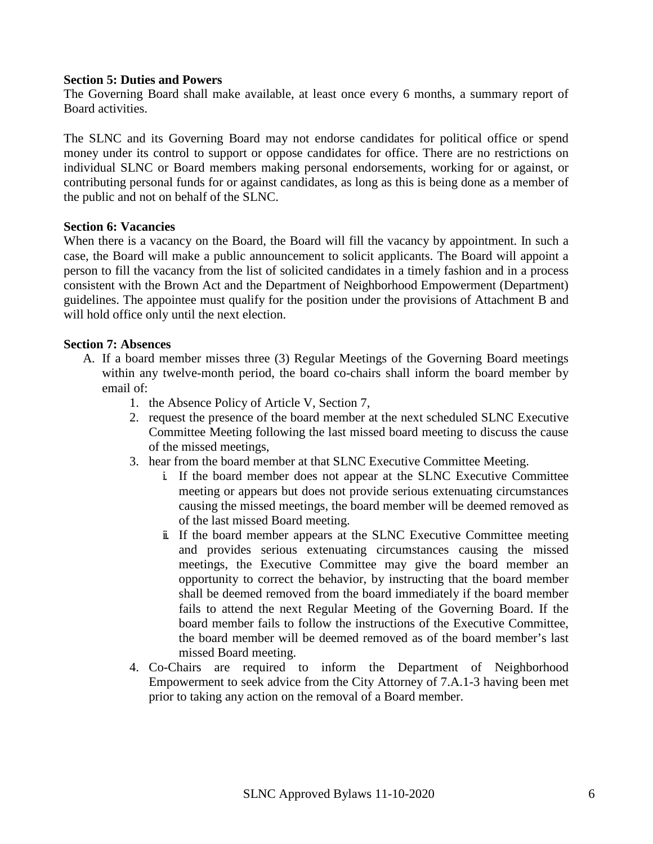#### <span id="page-5-0"></span>**Section 5: Duties and Powers**

The Governing Board shall make available, at least once every 6 months, a summary report of Board activities.

The SLNC and its Governing Board may not endorse candidates for political office or spend money under its control to support or oppose candidates for office. There are no restrictions on individual SLNC or Board members making personal endorsements, working for or against, or contributing personal funds for or against candidates, as long as this is being done as a member of the public and not on behalf of the SLNC.

#### <span id="page-5-1"></span>**Section 6: Vacancies**

When there is a vacancy on the Board, the Board will fill the vacancy by appointment. In such a case, the Board will make a public announcement to solicit applicants. The Board will appoint a person to fill the vacancy from the list of solicited candidates in a timely fashion and in a process consistent with the Brown Act and the Department of Neighborhood Empowerment (Department) guidelines. The appointee must qualify for the position under the provisions of Attachment B and will hold office only until the next election.

#### <span id="page-5-2"></span>**Section 7: Absences**

- A. If a board member misses three (3) Regular Meetings of the Governing Board meetings within any twelve-month period, the board co-chairs shall inform the board member by email of:
	- 1. the Absence Policy of Article V, Section 7,
	- 2. request the presence of the board member at the next scheduled SLNC Executive Committee Meeting following the last missed board meeting to discuss the cause of the missed meetings,
	- 3. hear from the board member at that SLNC Executive Committee Meeting.
		- i. If the board member does not appear at the SLNC Executive Committee meeting or appears but does not provide serious extenuating circumstances causing the missed meetings, the board member will be deemed removed as of the last missed Board meeting.
		- ii. If the board member appears at the SLNC Executive Committee meeting and provides serious extenuating circumstances causing the missed meetings, the Executive Committee may give the board member an opportunity to correct the behavior, by instructing that the board member shall be deemed removed from the board immediately if the board member fails to attend the next Regular Meeting of the Governing Board. If the board member fails to follow the instructions of the Executive Committee, the board member will be deemed removed as of the board member's last missed Board meeting.
	- 4. Co-Chairs are required to inform the Department of Neighborhood Empowerment to seek advice from the City Attorney of 7.A.1-3 having been met prior to taking any action on the removal of a Board member.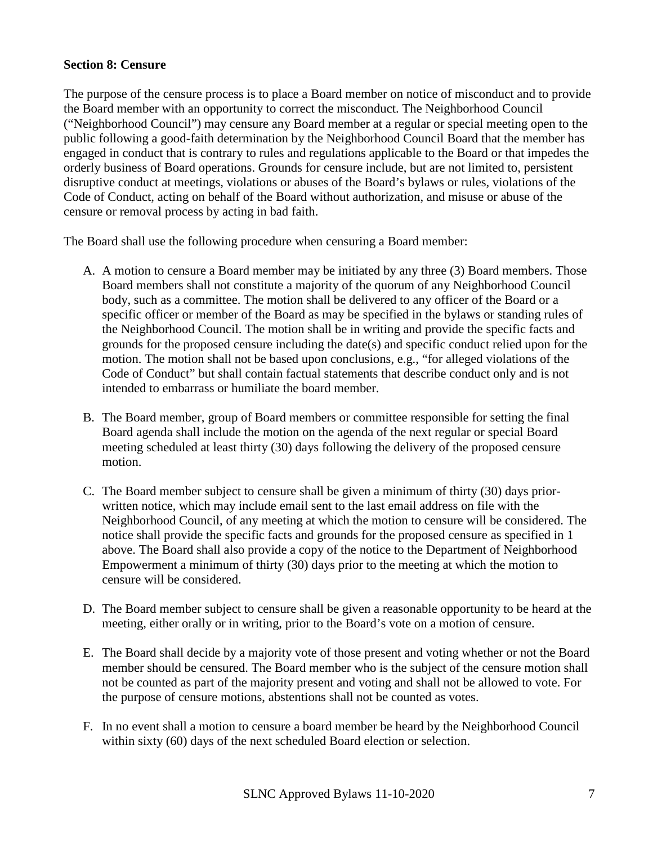## <span id="page-6-0"></span>**Section 8: Censure**

The purpose of the censure process is to place a Board member on notice of misconduct and to provide the Board member with an opportunity to correct the misconduct. The Neighborhood Council ("Neighborhood Council") may censure any Board member at a regular or special meeting open to the public following a good-faith determination by the Neighborhood Council Board that the member has engaged in conduct that is contrary to rules and regulations applicable to the Board or that impedes the orderly business of Board operations. Grounds for censure include, but are not limited to, persistent disruptive conduct at meetings, violations or abuses of the Board's bylaws or rules, violations of the Code of Conduct, acting on behalf of the Board without authorization, and misuse or abuse of the censure or removal process by acting in bad faith.

The Board shall use the following procedure when censuring a Board member:

- A. A motion to censure a Board member may be initiated by any three (3) Board members. Those Board members shall not constitute a majority of the quorum of any Neighborhood Council body, such as a committee. The motion shall be delivered to any officer of the Board or a specific officer or member of the Board as may be specified in the bylaws or standing rules of the Neighborhood Council. The motion shall be in writing and provide the specific facts and grounds for the proposed censure including the date(s) and specific conduct relied upon for the motion. The motion shall not be based upon conclusions, e.g., "for alleged violations of the Code of Conduct" but shall contain factual statements that describe conduct only and is not intended to embarrass or humiliate the board member.
- B. The Board member, group of Board members or committee responsible for setting the final Board agenda shall include the motion on the agenda of the next regular or special Board meeting scheduled at least thirty (30) days following the delivery of the proposed censure motion.
- C. The Board member subject to censure shall be given a minimum of thirty (30) days priorwritten notice, which may include email sent to the last email address on file with the Neighborhood Council, of any meeting at which the motion to censure will be considered. The notice shall provide the specific facts and grounds for the proposed censure as specified in 1 above. The Board shall also provide a copy of the notice to the Department of Neighborhood Empowerment a minimum of thirty (30) days prior to the meeting at which the motion to censure will be considered.
- D. The Board member subject to censure shall be given a reasonable opportunity to be heard at the meeting, either orally or in writing, prior to the Board's vote on a motion of censure.
- E. The Board shall decide by a majority vote of those present and voting whether or not the Board member should be censured. The Board member who is the subject of the censure motion shall not be counted as part of the majority present and voting and shall not be allowed to vote. For the purpose of censure motions, abstentions shall not be counted as votes.
- F. In no event shall a motion to censure a board member be heard by the Neighborhood Council within sixty (60) days of the next scheduled Board election or selection.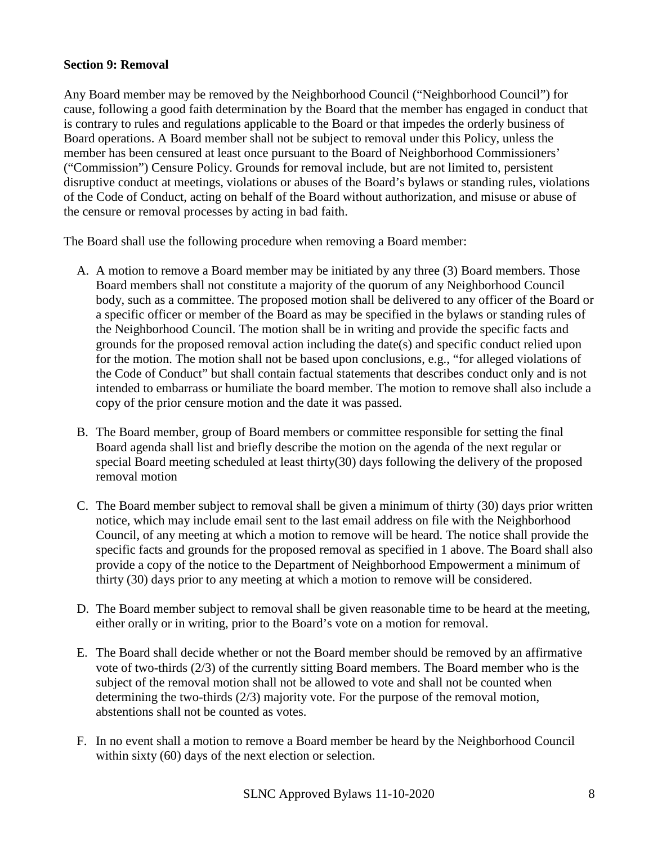## <span id="page-7-0"></span>**Section 9: Removal**

Any Board member may be removed by the Neighborhood Council ("Neighborhood Council") for cause, following a good faith determination by the Board that the member has engaged in conduct that is contrary to rules and regulations applicable to the Board or that impedes the orderly business of Board operations. A Board member shall not be subject to removal under this Policy, unless the member has been censured at least once pursuant to the Board of Neighborhood Commissioners' ("Commission") Censure Policy. Grounds for removal include, but are not limited to, persistent disruptive conduct at meetings, violations or abuses of the Board's bylaws or standing rules, violations of the Code of Conduct, acting on behalf of the Board without authorization, and misuse or abuse of the censure or removal processes by acting in bad faith.

The Board shall use the following procedure when removing a Board member:

- A. A motion to remove a Board member may be initiated by any three (3) Board members. Those Board members shall not constitute a majority of the quorum of any Neighborhood Council body, such as a committee. The proposed motion shall be delivered to any officer of the Board or a specific officer or member of the Board as may be specified in the bylaws or standing rules of the Neighborhood Council. The motion shall be in writing and provide the specific facts and grounds for the proposed removal action including the date(s) and specific conduct relied upon for the motion. The motion shall not be based upon conclusions, e.g., "for alleged violations of the Code of Conduct" but shall contain factual statements that describes conduct only and is not intended to embarrass or humiliate the board member. The motion to remove shall also include a copy of the prior censure motion and the date it was passed.
- B. The Board member, group of Board members or committee responsible for setting the final Board agenda shall list and briefly describe the motion on the agenda of the next regular or special Board meeting scheduled at least thirty(30) days following the delivery of the proposed removal motion
- C. The Board member subject to removal shall be given a minimum of thirty (30) days prior written notice, which may include email sent to the last email address on file with the Neighborhood Council, of any meeting at which a motion to remove will be heard. The notice shall provide the specific facts and grounds for the proposed removal as specified in 1 above. The Board shall also provide a copy of the notice to the Department of Neighborhood Empowerment a minimum of thirty (30) days prior to any meeting at which a motion to remove will be considered.
- D. The Board member subject to removal shall be given reasonable time to be heard at the meeting, either orally or in writing, prior to the Board's vote on a motion for removal.
- E. The Board shall decide whether or not the Board member should be removed by an affirmative vote of two-thirds (2/3) of the currently sitting Board members. The Board member who is the subject of the removal motion shall not be allowed to vote and shall not be counted when determining the two-thirds (2/3) majority vote. For the purpose of the removal motion, abstentions shall not be counted as votes.
- F. In no event shall a motion to remove a Board member be heard by the Neighborhood Council within sixty (60) days of the next election or selection.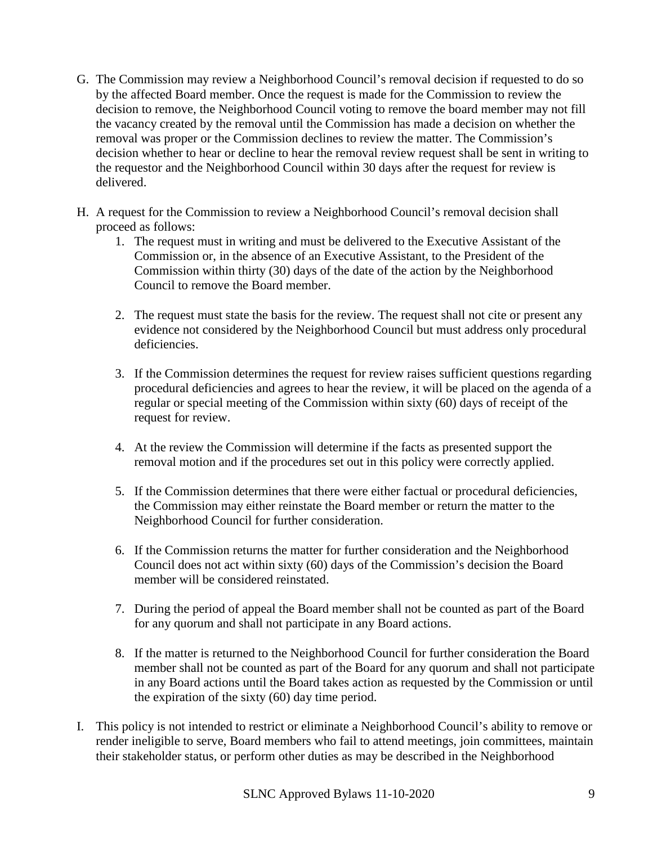- G. The Commission may review a Neighborhood Council's removal decision if requested to do so by the affected Board member. Once the request is made for the Commission to review the decision to remove, the Neighborhood Council voting to remove the board member may not fill the vacancy created by the removal until the Commission has made a decision on whether the removal was proper or the Commission declines to review the matter. The Commission's decision whether to hear or decline to hear the removal review request shall be sent in writing to the requestor and the Neighborhood Council within 30 days after the request for review is delivered.
- H. A request for the Commission to review a Neighborhood Council's removal decision shall proceed as follows:
	- 1. The request must in writing and must be delivered to the Executive Assistant of the Commission or, in the absence of an Executive Assistant, to the President of the Commission within thirty (30) days of the date of the action by the Neighborhood Council to remove the Board member.
	- 2. The request must state the basis for the review. The request shall not cite or present any evidence not considered by the Neighborhood Council but must address only procedural deficiencies.
	- 3. If the Commission determines the request for review raises sufficient questions regarding procedural deficiencies and agrees to hear the review, it will be placed on the agenda of a regular or special meeting of the Commission within sixty (60) days of receipt of the request for review.
	- 4. At the review the Commission will determine if the facts as presented support the removal motion and if the procedures set out in this policy were correctly applied.
	- 5. If the Commission determines that there were either factual or procedural deficiencies, the Commission may either reinstate the Board member or return the matter to the Neighborhood Council for further consideration.
	- 6. If the Commission returns the matter for further consideration and the Neighborhood Council does not act within sixty (60) days of the Commission's decision the Board member will be considered reinstated.
	- 7. During the period of appeal the Board member shall not be counted as part of the Board for any quorum and shall not participate in any Board actions.
	- 8. If the matter is returned to the Neighborhood Council for further consideration the Board member shall not be counted as part of the Board for any quorum and shall not participate in any Board actions until the Board takes action as requested by the Commission or until the expiration of the sixty (60) day time period.
- I. This policy is not intended to restrict or eliminate a Neighborhood Council's ability to remove or render ineligible to serve, Board members who fail to attend meetings, join committees, maintain their stakeholder status, or perform other duties as may be described in the Neighborhood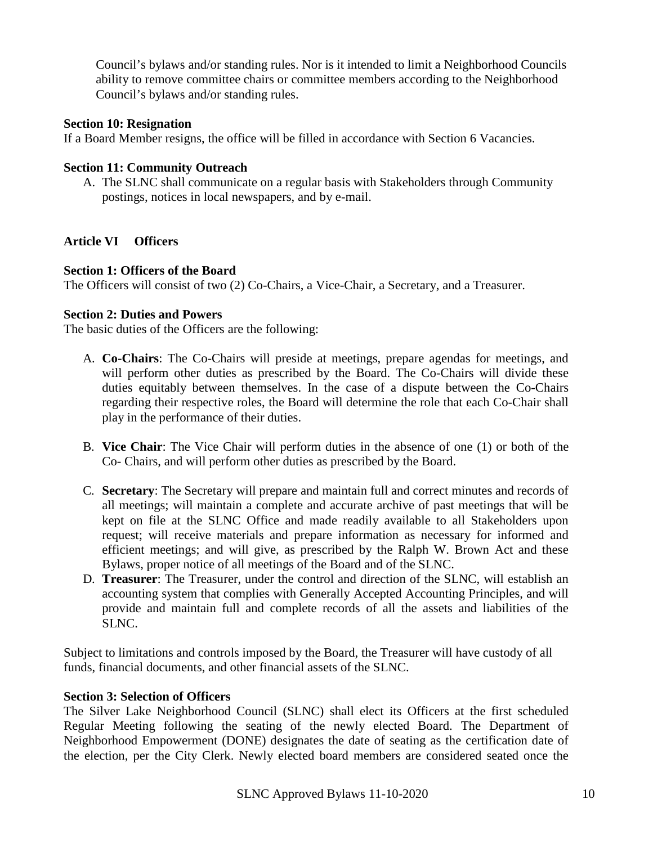Council's bylaws and/or standing rules. Nor is it intended to limit a Neighborhood Councils ability to remove committee chairs or committee members according to the Neighborhood Council's bylaws and/or standing rules.

## <span id="page-9-0"></span>**Section 10: Resignation**

If a Board Member resigns, the office will be filled in accordance with Section 6 Vacancies.

#### <span id="page-9-1"></span>**Section 11: Community Outreach**

<span id="page-9-2"></span>A. The SLNC shall communicate on a regular basis with Stakeholders through Community postings, notices in local newspapers, and by e-mail.

# <span id="page-9-3"></span>**Article VI Officers**

#### **Section 1: Officers of the Board**

The Officers will consist of two (2) Co-Chairs, a Vice-Chair, a Secretary, and a Treasurer.

#### <span id="page-9-4"></span>**Section 2: Duties and Powers**

The basic duties of the Officers are the following:

- A. **Co-Chairs**: The Co-Chairs will preside at meetings, prepare agendas for meetings, and will perform other duties as prescribed by the Board. The Co-Chairs will divide these duties equitably between themselves. In the case of a dispute between the Co-Chairs regarding their respective roles, the Board will determine the role that each Co-Chair shall play in the performance of their duties.
- B. **Vice Chair**: The Vice Chair will perform duties in the absence of one (1) or both of the Co- Chairs, and will perform other duties as prescribed by the Board.
- C. **Secretary**: The Secretary will prepare and maintain full and correct minutes and records of all meetings; will maintain a complete and accurate archive of past meetings that will be kept on file at the SLNC Office and made readily available to all Stakeholders upon request; will receive materials and prepare information as necessary for informed and efficient meetings; and will give, as prescribed by the Ralph W. Brown Act and these Bylaws, proper notice of all meetings of the Board and of the SLNC.
- D. **Treasurer**: The Treasurer, under the control and direction of the SLNC, will establish an accounting system that complies with Generally Accepted Accounting Principles, and will provide and maintain full and complete records of all the assets and liabilities of the SLNC.

Subject to limitations and controls imposed by the Board, the Treasurer will have custody of all funds, financial documents, and other financial assets of the SLNC.

# <span id="page-9-5"></span>**Section 3: Selection of Officers**

The Silver Lake Neighborhood Council (SLNC) shall elect its Officers at the first scheduled Regular Meeting following the seating of the newly elected Board. The Department of Neighborhood Empowerment (DONE) designates the date of seating as the certification date of the election, per the City Clerk. Newly elected board members are considered seated once the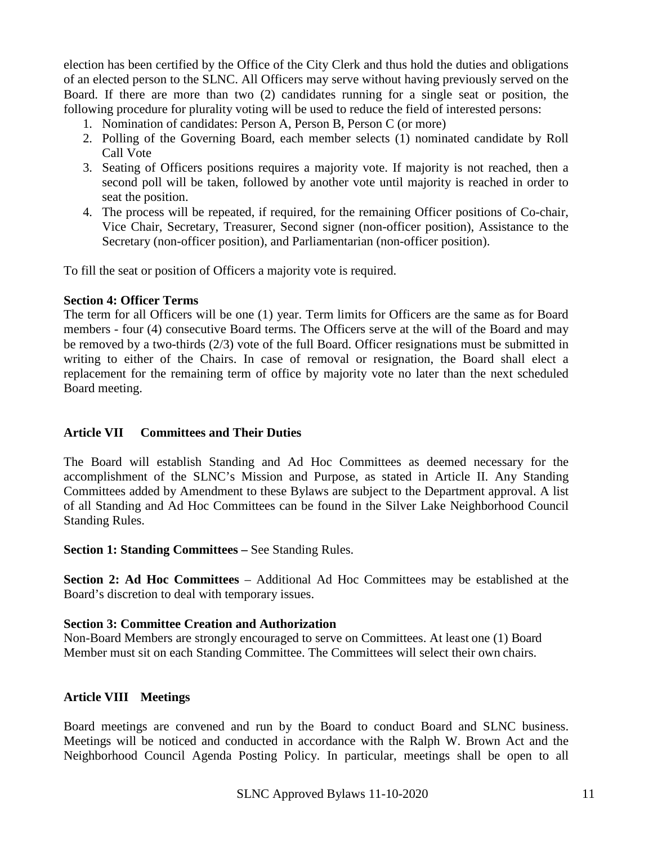election has been certified by the Office of the City Clerk and thus hold the duties and obligations of an elected person to the SLNC. All Officers may serve without having previously served on the Board. If there are more than two (2) candidates running for a single seat or position, the following procedure for plurality voting will be used to reduce the field of interested persons:

- 1. Nomination of candidates: Person A, Person B, Person C (or more)
- 2. Polling of the Governing Board, each member selects (1) nominated candidate by Roll Call Vote
- 3. Seating of Officers positions requires a majority vote. If majority is not reached, then a second poll will be taken, followed by another vote until majority is reached in order to seat the position.
- 4. The process will be repeated, if required, for the remaining Officer positions of Co-chair, Vice Chair, Secretary, Treasurer, Second signer (non-officer position), Assistance to the Secretary (non-officer position), and Parliamentarian (non-officer position).

To fill the seat or position of Officers a majority vote is required.

#### <span id="page-10-0"></span>**Section 4: Officer Terms**

The term for all Officers will be one (1) year. Term limits for Officers are the same as for Board members - four (4) consecutive Board terms. The Officers serve at the will of the Board and may be removed by a two-thirds (2/3) vote of the full Board. Officer resignations must be submitted in writing to either of the Chairs. In case of removal or resignation, the Board shall elect a replacement for the remaining term of office by majority vote no later than the next scheduled Board meeting.

#### <span id="page-10-1"></span>**Article VII Committees and Their Duties**

The Board will establish Standing and Ad Hoc Committees as deemed necessary for the accomplishment of the SLNC's Mission and Purpose, as stated in Article II. Any Standing Committees added by Amendment to these Bylaws are subject to the Department approval. A list of all Standing and Ad Hoc Committees can be found in the Silver Lake Neighborhood Council Standing Rules.

<span id="page-10-2"></span>**Section 1: Standing Committees –** See Standing Rules.

<span id="page-10-3"></span>**Section 2: Ad Hoc Committees** – Additional Ad Hoc Committees may be established at the Board's discretion to deal with temporary issues.

#### <span id="page-10-4"></span>**Section 3: Committee Creation and Authorization**

Non-Board Members are strongly encouraged to serve on Committees. At least one (1) Board Member must sit on each Standing Committee. The Committees will select their own chairs.

#### **Article VIII Meetings**

<span id="page-10-5"></span>Board meetings are convened and run by the Board to conduct Board and SLNC business. Meetings will be noticed and conducted in accordance with the Ralph W. Brown Act and the Neighborhood Council Agenda Posting Policy. In particular, meetings shall be open to all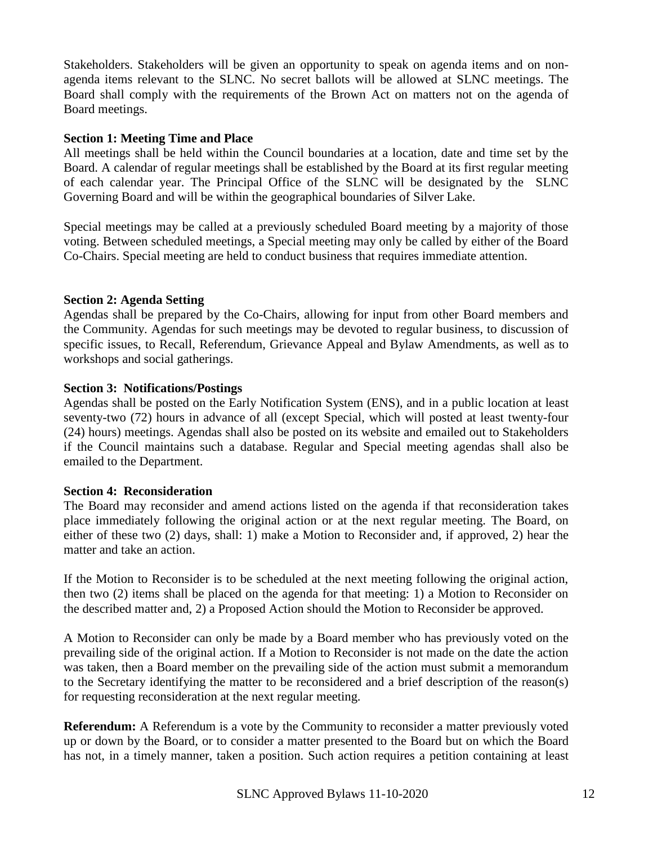Stakeholders. Stakeholders will be given an opportunity to speak on agenda items and on nonagenda items relevant to the SLNC. No secret ballots will be allowed at SLNC meetings. The Board shall comply with the requirements of the Brown Act on matters not on the agenda of Board meetings.

#### <span id="page-11-0"></span>**Section 1: Meeting Time and Place**

All meetings shall be held within the Council boundaries at a location, date and time set by the Board. A calendar of regular meetings shall be established by the Board at its first regular meeting of each calendar year. The Principal Office of the SLNC will be designated by the SLNC Governing Board and will be within the geographical boundaries of Silver Lake.

Special meetings may be called at a previously scheduled Board meeting by a majority of those voting. Between scheduled meetings, a Special meeting may only be called by either of the Board Co-Chairs. Special meeting are held to conduct business that requires immediate attention.

#### <span id="page-11-1"></span>**Section 2: Agenda Setting**

Agendas shall be prepared by the Co-Chairs, allowing for input from other Board members and the Community. Agendas for such meetings may be devoted to regular business, to discussion of specific issues, to Recall, Referendum, Grievance Appeal and Bylaw Amendments, as well as to workshops and social gatherings.

#### **Section 3: Notifications/Postings**

Agendas shall be posted on the Early Notification System (ENS), and in a public location at least seventy-two (72) hours in advance of all (except Special, which will posted at least twenty-four (24) hours) meetings. Agendas shall also be posted on its website and emailed out to Stakeholders if the Council maintains such a database. Regular and Special meeting agendas shall also be emailed to the Department.

#### <span id="page-11-2"></span>**Section 4: Reconsideration**

The Board may reconsider and amend actions listed on the agenda if that reconsideration takes place immediately following the original action or at the next regular meeting. The Board, on either of these two (2) days, shall: 1) make a Motion to Reconsider and, if approved, 2) hear the matter and take an action.

If the Motion to Reconsider is to be scheduled at the next meeting following the original action, then two (2) items shall be placed on the agenda for that meeting: 1) a Motion to Reconsider on the described matter and, 2) a Proposed Action should the Motion to Reconsider be approved.

A Motion to Reconsider can only be made by a Board member who has previously voted on the prevailing side of the original action. If a Motion to Reconsider is not made on the date the action was taken, then a Board member on the prevailing side of the action must submit a memorandum to the Secretary identifying the matter to be reconsidered and a brief description of the reason(s) for requesting reconsideration at the next regular meeting.

**Referendum:** A Referendum is a vote by the Community to reconsider a matter previously voted up or down by the Board, or to consider a matter presented to the Board but on which the Board has not, in a timely manner, taken a position. Such action requires a petition containing at least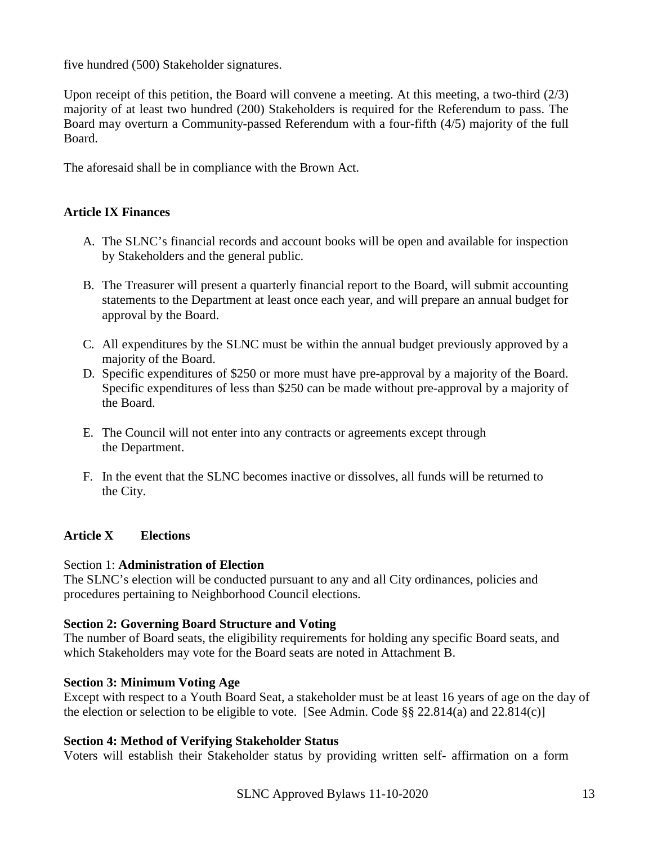five hundred (500) Stakeholder signatures.

Upon receipt of this petition, the Board will convene a meeting. At this meeting, a two-third (2/3) majority of at least two hundred (200) Stakeholders is required for the Referendum to pass. The Board may overturn a Community-passed Referendum with a four-fifth (4/5) majority of the full Board.

The aforesaid shall be in compliance with the Brown Act.

# **Article IX Finances**

- <span id="page-12-0"></span>A. The SLNC's financial records and account books will be open and available for inspection by Stakeholders and the general public.
- B. The Treasurer will present a quarterly financial report to the Board, will submit accounting statements to the Department at least once each year, and will prepare an annual budget for approval by the Board.
- C. All expenditures by the SLNC must be within the annual budget previously approved by a majority of the Board.
- D. Specific expenditures of \$250 or more must have pre-approval by a majority of the Board. Specific expenditures of less than \$250 can be made without pre-approval by a majority of the Board.
- E. The Council will not enter into any contracts or agreements except through the Department.
- F. In the event that the SLNC becomes inactive or dissolves, all funds will be returned to the City.

# <span id="page-12-1"></span>**Article X Elections**

#### <span id="page-12-2"></span>Section 1: **Administration of Election**

The SLNC's election will be conducted pursuant to any and all City ordinances, policies and procedures pertaining to Neighborhood Council elections.

#### <span id="page-12-3"></span>**Section 2: Governing Board Structure and Voting**

The number of Board seats, the eligibility requirements for holding any specific Board seats, and which Stakeholders may vote for the Board seats are noted in Attachment B.

#### **Section 3: Minimum Voting Age**

Except with respect to a Youth Board Seat, a stakeholder must be at least 16 years of age on the day of the election or selection to be eligible to vote. [See Admin. Code  $\S$ § 22.814(a) and 22.814(c)]

#### **Section 4: Method of Verifying Stakeholder Status**

Voters will establish their Stakeholder status by providing written self- affirmation on a form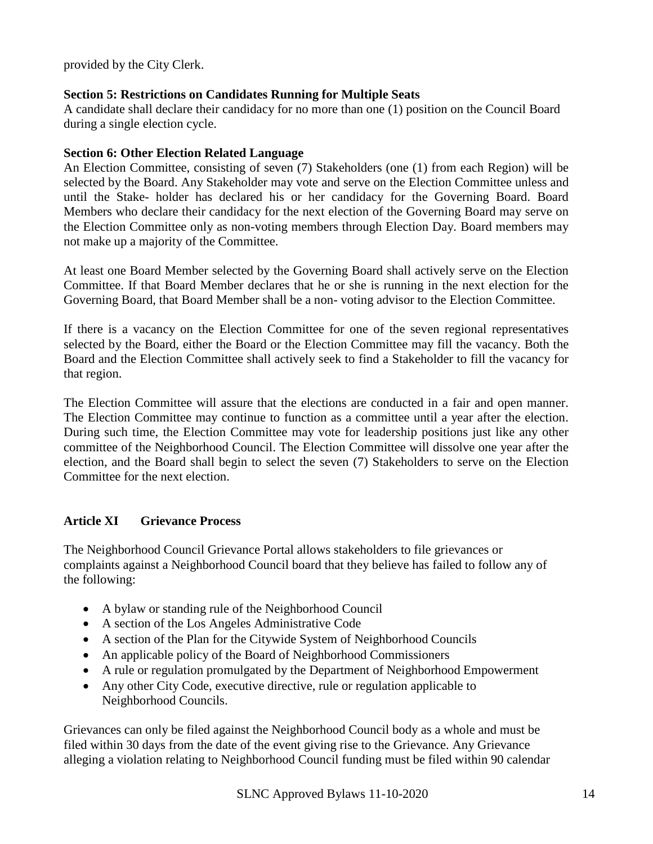provided by the City Clerk.

# **Section 5: Restrictions on Candidates Running for Multiple Seats**

A candidate shall declare their candidacy for no more than one (1) position on the Council Board during a single election cycle.

# **Section 6: Other Election Related Language**

An Election Committee, consisting of seven (7) Stakeholders (one (1) from each Region) will be selected by the Board. Any Stakeholder may vote and serve on the Election Committee unless and until the Stake- holder has declared his or her candidacy for the Governing Board. Board Members who declare their candidacy for the next election of the Governing Board may serve on the Election Committee only as non-voting members through Election Day. Board members may not make up a majority of the Committee.

At least one Board Member selected by the Governing Board shall actively serve on the Election Committee. If that Board Member declares that he or she is running in the next election for the Governing Board, that Board Member shall be a non- voting advisor to the Election Committee.

If there is a vacancy on the Election Committee for one of the seven regional representatives selected by the Board, either the Board or the Election Committee may fill the vacancy. Both the Board and the Election Committee shall actively seek to find a Stakeholder to fill the vacancy for that region.

The Election Committee will assure that the elections are conducted in a fair and open manner. The Election Committee may continue to function as a committee until a year after the election. During such time, the Election Committee may vote for leadership positions just like any other committee of the Neighborhood Council. The Election Committee will dissolve one year after the election, and the Board shall begin to select the seven (7) Stakeholders to serve on the Election Committee for the next election.

# <span id="page-13-0"></span>**Article XI Grievance Process**

The Neighborhood Council Grievance Portal allows stakeholders to file grievances or complaints against a Neighborhood Council board that they believe has failed to follow any of the following:

- A bylaw or standing rule of the Neighborhood Council
- A section of the Los Angeles Administrative Code
- A section of the Plan for the Citywide System of Neighborhood Councils
- An applicable policy of the Board of Neighborhood Commissioners
- A rule or regulation promulgated by the Department of Neighborhood Empowerment
- Any other City Code, executive directive, rule or regulation applicable to Neighborhood Councils.

Grievances can only be filed against the Neighborhood Council body as a whole and must be filed within 30 days from the date of the event giving rise to the Grievance. Any Grievance alleging a violation relating to Neighborhood Council funding must be filed within 90 calendar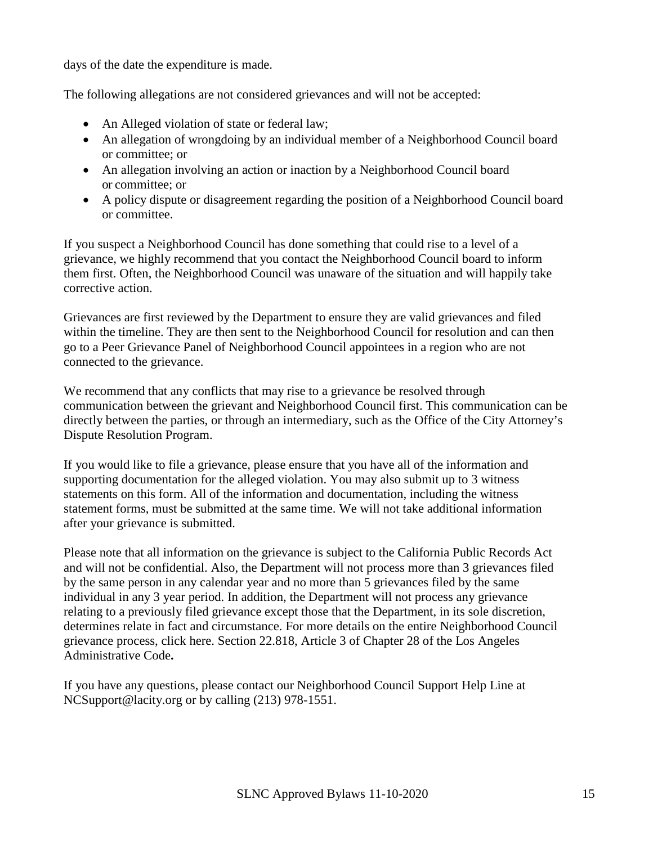days of the date the expenditure is made.

The following allegations are not considered grievances and will not be accepted:

- An Alleged violation of state or federal law;
- An allegation of wrongdoing by an individual member of a Neighborhood Council board or committee; or
- An allegation involving an action or inaction by a Neighborhood Council board or committee; or
- A policy dispute or disagreement regarding the position of a Neighborhood Council board or committee.

If you suspect a Neighborhood Council has done something that could rise to a level of a grievance, we highly recommend that you contact the Neighborhood Council board to inform them first. Often, the Neighborhood Council was unaware of the situation and will happily take corrective action.

Grievances are first reviewed by the Department to ensure they are valid grievances and filed within the timeline. They are then sent to the Neighborhood Council for resolution and can then go to a Peer Grievance Panel of Neighborhood Council appointees in a region who are not connected to the grievance.

We recommend that any conflicts that may rise to a grievance be resolved through communication between the grievant and Neighborhood Council first. This communication can be directly between the parties, or through an intermediary, such as the Office of the City Attorney's Dispute Resolution Program.

If you would like to file a grievance, please ensure that you have all of the information and supporting documentation for the alleged violation. You may also submit up to 3 witness statements on this form. All of the information and documentation, including the witness statement forms, must be submitted at the same time. We will not take additional information after your grievance is submitted.

Please note that all information on the grievance is subject to the California Public Records Act and will not be confidential. Also, the Department will not process more than 3 grievances filed by the same person in any calendar year and no more than 5 grievances filed by the same individual in any 3 year period. In addition, the Department will not process any grievance relating to a previously filed grievance except those that the Department, in its sole discretion, determines relate in fact and circumstance. For more details on the entire Neighborhood Council grievance process, click here. Section 22.818, Article 3 of Chapter 28 of the Los Angeles Administrative Code**.**

If you have any questions, please contact our Neighborhood Council Support Help Line at [NCSupport@lacity.org o](mailto:NCSupport@lacity.org)r by calling (213) 978-1551.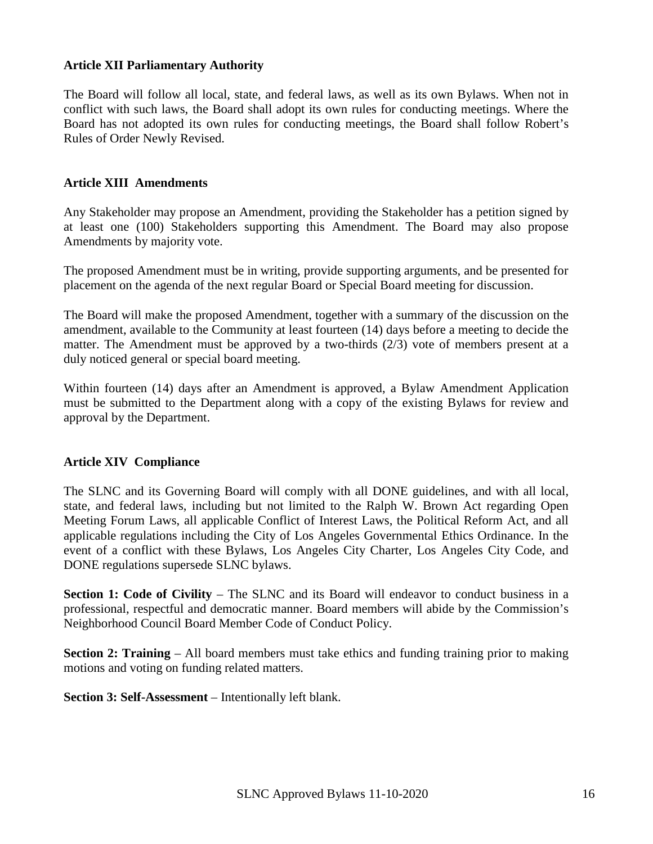## <span id="page-15-0"></span>**Article XII Parliamentary Authority**

The Board will follow all local, state, and federal laws, as well as its own Bylaws. When not in conflict with such laws, the Board shall adopt its own rules for conducting meetings. Where the Board has not adopted its own rules for conducting meetings, the Board shall follow Robert's Rules of Order Newly Revised.

#### <span id="page-15-1"></span>**Article XIII Amendments**

Any Stakeholder may propose an Amendment, providing the Stakeholder has a petition signed by at least one (100) Stakeholders supporting this Amendment. The Board may also propose Amendments by majority vote.

The proposed Amendment must be in writing, provide supporting arguments, and be presented for placement on the agenda of the next regular Board or Special Board meeting for discussion.

The Board will make the proposed Amendment, together with a summary of the discussion on the amendment, available to the Community at least fourteen (14) days before a meeting to decide the matter. The Amendment must be approved by a two-thirds (2/3) vote of members present at a duly noticed general or special board meeting.

Within fourteen (14) days after an Amendment is approved, a Bylaw Amendment Application must be submitted to the Department along with a copy of the existing Bylaws for review and approval by the Department.

#### <span id="page-15-2"></span>**Article XIV Compliance**

The SLNC and its Governing Board will comply with all DONE guidelines, and with all local, state, and federal laws, including but not limited to the Ralph W. Brown Act regarding Open Meeting Forum Laws, all applicable Conflict of Interest Laws, the Political Reform Act, and all applicable regulations including the City of Los Angeles Governmental Ethics Ordinance. In the event of a conflict with these Bylaws, Los Angeles City Charter, Los Angeles City Code, and DONE regulations supersede SLNC bylaws.

**Section 1: Code of Civility** – The SLNC and its Board will endeavor to conduct business in a professional, respectful and democratic manner. Board members will abide by the Commission's Neighborhood Council Board Member Code of Conduct Policy.

**Section 2: Training** – All board members must take ethics and funding training prior to making motions and voting on funding related matters.

**Section 3: Self-Assessment** – Intentionally left blank.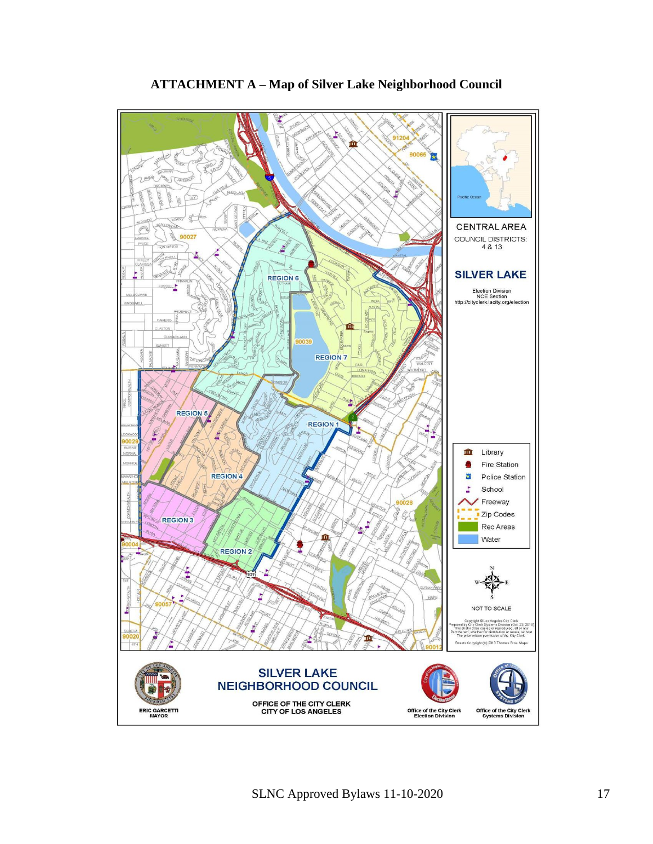<span id="page-16-0"></span>

# **ATTACHMENT A – Map of Silver Lake Neighborhood Council**